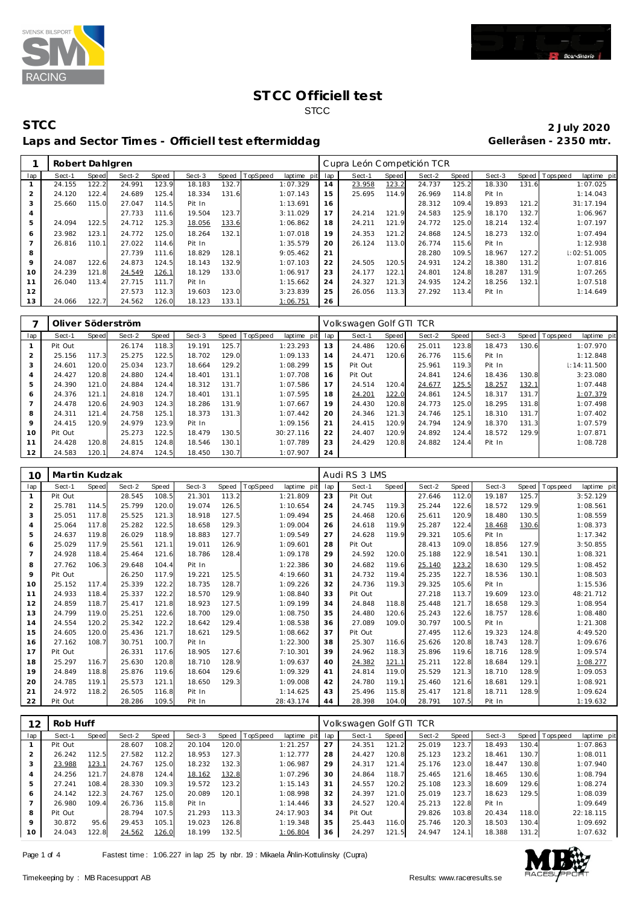



|                | Robert Dahlgren |       |        |       |        |       |          |             |     | Cupra León Competición TCR |       |        |       |        |       |                |             |
|----------------|-----------------|-------|--------|-------|--------|-------|----------|-------------|-----|----------------------------|-------|--------|-------|--------|-------|----------------|-------------|
| lap            | Sect-1          | Speed | Sect-2 | Speed | Sect-3 | Speed | TopSpeed | laptime pit | lap | Sect-1                     | Speed | Sect-2 | Speed | Sect-3 |       | Speed Topspeed | laptime pit |
|                | 24.155          | 122.2 | 24.991 | 123.9 | 18.183 | 132.7 |          | 1:07.329    | 14  | 23.958                     | 123.2 | 24.737 | 125.2 | 18.330 | 131.6 | 1:07.025       |             |
| $\overline{2}$ | 24.120          | 122.4 | 24.689 | 125.4 | 18.334 | 131.6 |          | 1:07.143    | 15  | 25.695                     | 114.9 | 26.969 | 114.8 | Pit In |       | 1:14.043       |             |
| 3              | 25.660          | 115.0 | 27.047 | 114.5 | Pit In |       |          | 1:13.691    | 16  |                            |       | 28.312 | 109.4 | 19.893 | 121.2 | 31:17.194      |             |
| 4              |                 |       | 27.733 | 111.6 | 19.504 | 123.7 |          | 3:11.029    | 17  | 24.214                     | 121.9 | 24.583 | 125.9 | 18.170 | 132.7 | 1:06.967       |             |
| 5              | 24.094          | 122.5 | 24.712 | 125.3 | 18.056 | 133.6 |          | 1:06.862    | 18  | 24.211                     | 121.9 | 24.772 | 125.0 | 18.214 | 132.4 | 1:07.197       |             |
| 6              | 23.982          | 123.1 | 24.772 | 125.0 | 18.264 | 132.1 |          | 1:07.018    | 19  | 24.353                     | 121.2 | 24.868 | 124.5 | 18.273 | 132.0 | 1:07.494       |             |
|                | 26.816          | 110.1 | 27.022 | 114.6 | Pit In |       |          | 1:35.579    | 20  | 26.124                     | 113.0 | 26.774 | 115.6 | Pit In |       | 1:12.938       |             |
| 8              |                 |       | 27.739 | 111.6 | 18.829 | 128.1 |          | 9:05.462    | 21  |                            |       | 28.280 | 109.5 | 18.967 | 127.2 | 1:02:51.005    |             |
| $\circ$        | 24.087          | 122.6 | 24.873 | 124.5 | 18.143 | 132.9 |          | 1:07.103    | 22  | 24.505                     | 120.5 | 24.931 | 124.2 | 18.380 | 131.2 | 1:07.816       |             |
| 10             | 24.239          | 121.8 | 24.549 | 126.1 | 18.129 | 133.0 |          | 1:06.917    | 23  | 24.177                     | 122.1 | 24.801 | 124.8 | 18.287 | 131.9 | 1:07.265       |             |
| 11             | 26.040          | 113.4 | 27.715 | 111.7 | Pit In |       |          | 1:15.662    | 24  | 24.327                     | 121.3 | 24.935 | 124.2 | 18.256 | 132.1 | 1:07.518       |             |
| 12             |                 |       | 27.573 | 112.3 | 19.603 | 123.0 |          | 3:23.839    | 25  | 26.056                     | 113.3 | 27.292 | 113.4 | Pit In |       | 1:14.649       |             |
| 13             | 24.066          | 122.7 | 24.562 | 126.0 | 18.123 | 133.1 |          | 1:06.751    | 26  |                            |       |        |       |        |       |                |             |

|                |         |       | Oliver Söderström |       |        |       |          |             |     | Volkswagen Golf GTI TCR |       |        |       |        |       |                           |
|----------------|---------|-------|-------------------|-------|--------|-------|----------|-------------|-----|-------------------------|-------|--------|-------|--------|-------|---------------------------|
| lap            | Sect-1  | Speed | Sect-2            | Speed | Sect-3 | Speed | TopSpeed | laptime pit | lap | Sect-1                  | Speed | Sect-2 | Speed | Sect-3 | Speed | T ops peed<br>laptime pit |
|                | Pit Out |       | 26.174            | 118.3 | 19.191 | 125.7 |          | 1:23.293    | 13  | 24.486                  | 120.6 | 25.011 | 123.8 | 18.473 | 130.6 | 1:07.970                  |
| 2              | 25.156  | 117.3 | 25.275            | 122.5 | 18.702 | 129.0 |          | 1:09.133    | 14  | 24.471                  | 120.6 | 26.776 | 115.6 | Pit In |       | 1:12.848                  |
| 3              | 24.601  | 120.0 | 25.034            | 123.7 | 18.664 | 129.2 |          | 1:08.299    | 15  | Pit Out                 |       | 25.961 | 119.3 | Pit In |       | $\pm 14:11.500$           |
| 4              | 24.427  | 120.8 | 24.880            | 124.4 | 18.401 | 131.1 |          | 1:07.708    | 16  | Pit Out                 |       | 24.841 | 124.6 | 18.436 | 130.8 | 3:23.080                  |
| 5              | 24.390  | 121.0 | 24.884            | 124.4 | 18.312 | 131.7 |          | 1:07.586    | 17  | 24.514                  | 120.4 | 24.677 | 125.5 | 18.257 | 132.1 | 1:07.448                  |
| 6              | 24.376  | 121.1 | 24.818            | 124.7 | 18.401 | 131.1 |          | 1:07.595    | 18  | 24.201                  | 122.0 | 24.861 | 124.5 | 18.317 | 131.7 | 1:07.379                  |
| $\overline{7}$ | 24.478  | 120.6 | 24.903            | 124.3 | 18.286 | 131.9 |          | 1:07.667    | 19  | 24.430                  | 120.8 | 24.773 | 125.0 | 18.295 | 131.8 | 1:07.498                  |
| 8              | 24.311  | 121.4 | 24.758            | 125.1 | 18.373 | 131.3 |          | 1:07.442    | 20  | 24.346                  | 121.3 | 24.746 | 125.1 | 18.310 | 131.7 | 1:07.402                  |
| 9              | 24.415  | 120.9 | 24.979            | 123.9 | Pit In |       |          | 1:09.156    | 21  | 24.415                  | 120.9 | 24.794 | 124.9 | 18.370 | 131.3 | 1:07.579                  |
| 10             | Pit Out |       | 25.273            | 122.5 | 18.479 | 130.5 |          | 30:27.116   | 22  | 24.407                  | 120.9 | 24.892 | 124.4 | 18.572 | 129.9 | 1:07.871                  |
| 11             | 24.428  | 120.8 | 24.815            | 124.8 | 18.546 | 130.1 |          | 1:07.789    | 23  | 24.429                  | 120.8 | 24.882 | 124.4 | Pit In |       | 1:08.728                  |
| 12             | 24.583  | 120.1 | 24.874            | 124.5 | 18.450 | 130.7 |          | 1:07.907    | 24  |                         |       |        |       |        |       |                           |

| 10             | Martin Kudzak |       |        |       |        |       |          |             |     | Audi RS 3 LMS |       |        |       |        |       |                |             |
|----------------|---------------|-------|--------|-------|--------|-------|----------|-------------|-----|---------------|-------|--------|-------|--------|-------|----------------|-------------|
| lap            | Sect-1        | Speed | Sect-2 | Speed | Sect-3 | Speed | TopSpeed | laptime pit | lap | Sect-1        | Speed | Sect-2 | Speed | Sect-3 |       | Speed Topspeed | laptime pit |
| $\mathbf{1}$   | Pit Out       |       | 28.545 | 108.5 | 21.301 | 113.2 |          | 1:21.809    | 23  | Pit Out       |       | 27.646 | 112.0 | 19.187 | 125.7 |                | 3:52.129    |
| $\overline{2}$ | 25.781        | 114.5 | 25.799 | 120.0 | 19.074 | 126.5 |          | 1:10.654    | 24  | 24.745        | 119.3 | 25.244 | 122.6 | 18.572 | 129.9 |                | 1:08.561    |
| 3              | 25.051        | 117.8 | 25.525 | 121.3 | 18.918 | 127.5 |          | 1:09.494    | 25  | 24.468        | 120.6 | 25.611 | 120.9 | 18.480 | 130.5 |                | 1:08.559    |
| $\overline{4}$ | 25.064        | 117.8 | 25.282 | 122.5 | 18.658 | 129.3 |          | 1:09.004    | 26  | 24.618        | 119.9 | 25.287 | 122.4 | 18.468 | 130.6 |                | 1:08.373    |
| 5              | 24.637        | 119.8 | 26.029 | 118.9 | 18.883 | 127.7 |          | 1:09.549    | 27  | 24.628        | 119.9 | 29.321 | 105.6 | Pit In |       |                | 1:17.342    |
| 6              | 25.029        | 117.9 | 25.561 | 121.1 | 19.011 | 126.9 |          | 1:09.601    | 28  | Pit Out       |       | 28.413 | 109.0 | 18.856 | 127.9 |                | 3:50.855    |
| $\overline{7}$ | 24.928        | 118.4 | 25.464 | 121.6 | 18.786 | 128.4 |          | 1:09.178    | 29  | 24.592        | 120.0 | 25.188 | 122.9 | 18.541 | 130.1 |                | 1:08.321    |
| 8              | 27.762        | 106.3 | 29.648 | 104.4 | Pit In |       |          | 1:22.386    | 30  | 24.682        | 119.6 | 25.140 | 123.2 | 18.630 | 129.5 |                | 1:08.452    |
| 9              | Pit Out       |       | 26.250 | 117.9 | 19.221 | 125.5 |          | 4:19.660    | 31  | 24.732        | 119.4 | 25.235 | 122.7 | 18.536 | 130.1 |                | 1:08.503    |
| 10             | 25.152        | 117.4 | 25.339 | 122.2 | 18.735 | 128.7 |          | 1:09.226    | 32  | 24.736        | 119.3 | 29.325 | 105.6 | Pit In |       |                | 1:15.536    |
| 11             | 24.933        | 118.4 | 25.337 | 122.2 | 18.570 | 129.9 |          | 1:08.840    | 33  | Pit Out       |       | 27.218 | 113.7 | 19.609 | 123.0 |                | 48:21.712   |
| 12             | 24.859        | 118.7 | 25.417 | 121.8 | 18.923 | 127.5 |          | 1:09.199    | 34  | 24.848        | 118.8 | 25.448 | 121.7 | 18.658 | 129.3 |                | 1:08.954    |
| 13             | 24.799        | 119.0 | 25.251 | 122.6 | 18.700 | 129.0 |          | 1:08.750    | 35  | 24.480        | 120.6 | 25.243 | 122.6 | 18.757 | 128.6 |                | 1:08.480    |
| 14             | 24.554        | 120.2 | 25.342 | 122.2 | 18.642 | 129.4 |          | 1:08.538    | 36  | 27.089        | 109.0 | 30.797 | 100.5 | Pit In |       |                | 1:21.308    |
| 15             | 24.605        | 120.0 | 25.436 | 121.7 | 18.621 | 129.5 |          | 1:08.662    | 37  | Pit Out       |       | 27.495 | 112.6 | 19.323 | 124.8 |                | 4:49.520    |
| 16             | 27.162        | 108.7 | 30.751 | 100.7 | Pit In |       |          | 1:22.300    | 38  | 25.307        | 116.6 | 25.626 | 120.8 | 18.743 | 128.7 |                | 1:09.676    |
| 17             | Pit Out       |       | 26.331 | 117.6 | 18.905 | 127.6 |          | 7:10.301    | 39  | 24.962        | 118.3 | 25.896 | 119.6 | 18.716 | 128.9 |                | 1:09.574    |
| 18             | 25.297        | 116.7 | 25.630 | 120.8 | 18.710 | 128.9 |          | 1:09.637    | 40  | 24.382        | 121.1 | 25.211 | 122.8 | 18.684 | 129.1 |                | 1:08.277    |
| 19             | 24.849        | 118.8 | 25.876 | 119.6 | 18.604 | 129.6 |          | 1:09.329    | 41  | 24.814        | 119.0 | 25.529 | 121.3 | 18.710 | 128.9 |                | 1:09.053    |
| 20             | 24.785        | 119.1 | 25.573 | 121.1 | 18.650 | 129.3 |          | 1:09.008    | 42  | 24.780        | 119.1 | 25.460 | 121.6 | 18.681 | 129.1 |                | 1:08.921    |
| 21             | 24.972        | 118.2 | 26.505 | 116.8 | Pit In |       |          | 1:14.625    | 43  | 25.496        | 115.8 | 25.417 | 121.8 | 18.711 | 128.9 |                | 1:09.624    |
| 22             | Pit Out       |       | 28.286 | 109.5 | Pit In |       |          | 28:43.174   | 44  | 28.398        | 104.0 | 28.791 | 107.5 | Pit In |       |                | 1:19.632    |

| 12      | Rob Huff |       |        |       |        |       |                |             |     | Volkswagen Golf GTI TCR |       |        |       |        |       |                 |             |
|---------|----------|-------|--------|-------|--------|-------|----------------|-------------|-----|-------------------------|-------|--------|-------|--------|-------|-----------------|-------------|
| lap     | Sect-1   | Speed | Sect-2 | Speed | Sect-3 |       | Speed TopSpeed | laptime pit | lap | Sect-1                  | Speed | Sect-2 | Speed | Sect-3 |       | Speed Tops peed | laptime pit |
|         | Pit Out  |       | 28.607 | 108.2 | 20.104 | 120.0 |                | 1:21.257    | 27  | 24.351                  | 121.2 | 25.019 | 123.7 | 18.493 | 130.4 |                 | 1:07.863    |
|         | 26.242   | 112.5 | 27.582 | 112.2 | 18.953 | 127.3 |                | 1:12.777    | 28  | 24.427                  | 120.8 | 25.123 | 123.2 | 18.461 | 130.7 |                 | 1:08.011    |
|         | 23.988   | 123.1 | 24.767 | 125.0 | 18.232 | 132.3 |                | 1:06.987    | 29  | 24.317                  | 121.4 | 25.176 | 123.0 | 18.447 | 130.8 |                 | 1:07.940    |
|         | 24.256   | 121   | 24.878 | 124.4 | 18.162 | 132.8 |                | 1:07.296    | 30  | 24.864                  | 118.7 | 25.465 | 121.6 | 18.465 | 130.6 |                 | 1:08.794    |
|         | 27.241   | 108.4 | 28.330 | 109.3 | 19.572 | 123.2 |                | 1:15.143    | 31  | 24.557                  | 120.2 | 25.108 | 123.3 | 18.609 | 129.6 |                 | 1:08.274    |
| 6       | 24.142   | 122.3 | 24.767 | 125.0 | 20.089 | 120.1 |                | 1:08.998    | 32  | 24.397                  | 121.0 | 25.019 | 123.7 | 18.623 | 129.5 |                 | 1:08.039    |
|         | 26.980   | 109.4 | 26.736 | 115.8 | Pit In |       |                | 1:14.446    | 33  | 24.527                  | 120.4 | 25.213 | 122.8 | Pit In |       |                 | 1:09.649    |
| 8       | Pit Out  |       | 28.794 | 107.5 | 21.293 | 113.3 |                | 24:17.903   | 34  | Pit Out                 |       | 29.826 | 103.8 | 20.434 | 118.0 |                 | 22:18.115   |
| $\circ$ | 30.872   | 95.6  | 29.453 | 105.1 | 19.023 | 126.8 |                | 1:19.348    | 35  | 25.443                  | 116.0 | 25.746 | 120.3 | 18.503 | 130.4 |                 | 1:09.692    |
| 10      | 24.043   | 122.8 | 24.562 | 126.0 | 18.199 | 132.5 |                | 1:06.804    | 36  | 24.297                  | 121.5 | 24.947 | 124.1 | 18.388 | 131.2 |                 | 1:07.632    |

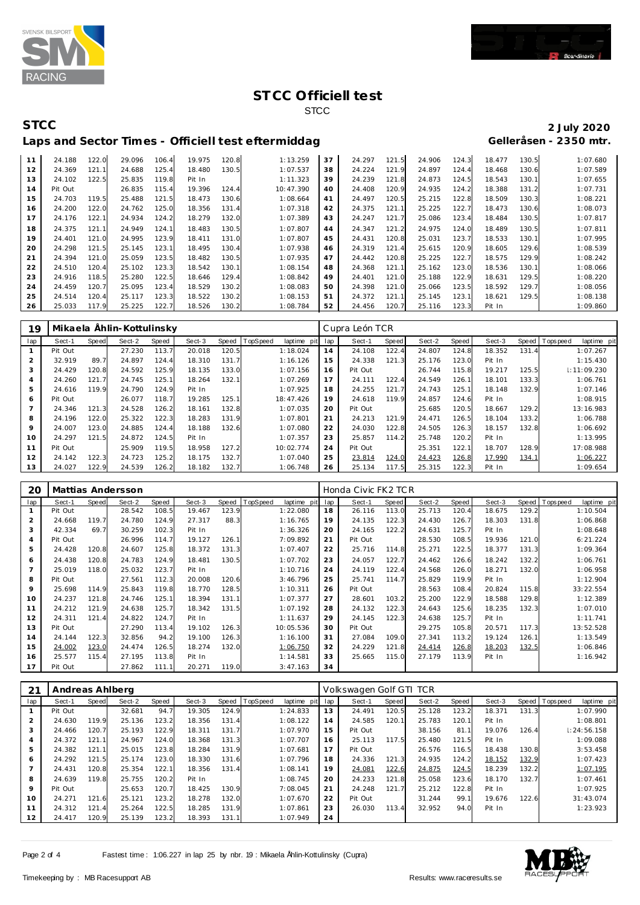



| $\mathbf{1}$ | 24.188  | 122.0 | 29.096 | 106.4 | 19.975 | 120.8 | 1:13.259  | 37 | 24.297 | 121.5 | 24.906 | 124.3 | 18.477 | 130.5 | 1:07.680 |
|--------------|---------|-------|--------|-------|--------|-------|-----------|----|--------|-------|--------|-------|--------|-------|----------|
| 12           | 24.369  | 121.1 | 24.688 | 125.4 | 18.480 | 130.5 | 1:07.537  | 38 | 24.224 | 121.9 | 24.897 | 124.4 | 18.468 | 130.6 | 1:07.589 |
| 13           | 24.102  | 122.5 | 25.835 | 119.8 | Pit In |       | 1:11.323  | 39 | 24.239 | 121.8 | 24.873 | 124.5 | 18.543 | 130.1 | 1:07.655 |
| 14           | Pit Out |       | 26.835 | 115.4 | 19.396 | 124.4 | 10:47.390 | 40 | 24.408 | 120.9 | 24.935 | 124.2 | 18.388 | 131.2 | 1:07.731 |
| 15           | 24.703  | 119.5 | 25.488 | 121.5 | 18.473 | 130.6 | 1:08.664  | 41 | 24.497 | 120.5 | 25.215 | 122.8 | 18.509 | 130.3 | 1:08.221 |
| 16           | 24.200  | 122.0 | 24.762 | 125.0 | 18.356 | 131.4 | 1:07.318  | 42 | 24.375 | 121.7 | 25.225 | 122.7 | 18.473 | 130.6 | 1:08.073 |
| 17           | 24.176  | 122.1 | 24.934 | 124.2 | 18.279 | 132.0 | 1:07.389  | 43 | 24.247 | 121.7 | 25.086 | 123.4 | 18.484 | 130.5 | 1:07.817 |
| 18           | 24.375  | 121.1 | 24.949 | 124.1 | 18.483 | 130.5 | 1:07.807  | 44 | 24.347 | 121.2 | 24.975 | 124.0 | 18.489 | 130.5 | 1:07.811 |
| 19           | 24.401  | 121.0 | 24.995 | 123.9 | 18.411 | 131.0 | 1:07.807  | 45 | 24.431 | 120.8 | 25.031 | 123.7 | 18.533 | 130.1 | 1:07.995 |
| 20           | 24.298  | 121.5 | 25.145 | 123.1 | 18.495 | 130.4 | 1:07.938  | 46 | 24.319 | 121.4 | 25.615 | 120.9 | 18.605 | 129.6 | 1:08.539 |
| 21           | 24.394  | 121.0 | 25.059 | 123.5 | 18.482 | 130.5 | 1:07.935  | 47 | 24.442 | 120.8 | 25.225 | 122.7 | 18.575 | 129.9 | 1:08.242 |
| 22           | 24.510  | 120.4 | 25.102 | 123.3 | 18.542 | 130.1 | 1:08.154  | 48 | 24.368 | 121.7 | 25.162 | 123.0 | 18.536 | 130.1 | 1:08.066 |
| 23           | 24.916  | 118.5 | 25.280 | 122.5 | 18.646 | 129.4 | 1:08.842  | 49 | 24.401 | 121.0 | 25.188 | 122.9 | 18.631 | 129.5 | 1:08.220 |
| 24           | 24.459  | 120.7 | 25.095 | 123.4 | 18.529 | 130.2 | 1:08.083  | 50 | 24.398 | 121.0 | 25.066 | 123.5 | 18.592 | 129.7 | 1:08.056 |
| 25           | 24.514  | 120.4 | 25.117 | 123.3 | 18.522 | 130.2 | 1:08.153  | 51 | 24.372 | 121.7 | 25.145 | 123.1 | 18.621 | 129.5 | 1:08.138 |
| 26           | 25.033  | 117.9 | 25.225 | 122.7 | 18.526 | 130.2 | 1:08.784  | 52 | 24.456 | 120.7 | 25.116 | 123.3 | Pit In |       | 1:09.860 |
|              |         |       |        |       |        |       |           |    |        |       |        |       |        |       |          |

| 19             |         |       | Mikaela Ählin-Kottulinsky |       |        |       |          |             |     | Cupra León TCR |       |        |       |        |       |                   |             |
|----------------|---------|-------|---------------------------|-------|--------|-------|----------|-------------|-----|----------------|-------|--------|-------|--------|-------|-------------------|-------------|
| lap            | Sect-1  | Speed | Sect-2                    | Speed | Sect-3 | Speed | TopSpeed | laptime pit | lap | Sect-1         | Speed | Sect-2 | Speed | Sect-3 |       | Speed   Tops peed | laptime pit |
|                | Pit Out |       | 27.230                    | 113.7 | 20.018 | 120.5 |          | 1:18.024    | 14  | 24.108         | 122.4 | 24.807 | 124.8 | 18.352 | 131.4 |                   | 1:07.267    |
| $\overline{2}$ | 32.919  | 89.7  | 24.897                    | 124.4 | 18.310 | 131.7 |          | 1:16.126    | 15  | 24.338         | 121.3 | 25.176 | 123.0 | Pit In |       |                   | 1:15.430    |
| 3              | 24.429  | 120.8 | 24.592                    | 125.9 | 18.135 | 133.0 |          | 1:07.156    | 16  | Pit Out        |       | 26.744 | 115.8 | 19.217 | 125.5 |                   | 1:11:09.230 |
| 4              | 24.260  | 121.7 | 24.745                    | 125.1 | 18.264 | 132.1 |          | 1:07.269    | 17  | 24.111         | 122.4 | 24.549 | 126.1 | 18.101 | 133.3 |                   | 1:06.761    |
| 5              | 24.616  | 119.9 | 24.790                    | 124.9 | Pit In |       |          | 1:07.925    | 18  | 24.255         | 121.7 | 24.743 | 125.1 | 18.148 | 132.9 |                   | 1:07.146    |
| 6              | Pit Out |       | 26.077                    | 118.7 | 19.285 | 125.1 |          | 18:47.426   | 19  | 24.618         | 119.9 | 24.857 | 124.6 | Pit In |       |                   | 1:08.915    |
|                | 24.346  | 121.3 | 24.528                    | 126.2 | 18.161 | 132.8 |          | 1:07.035    | 20  | Pit Out        |       | 25.685 | 120.5 | 18.667 | 129.2 |                   | 13:16.983   |
| 8              | 24.196  | 122.0 | 25.322                    | 122.3 | 18.283 | 131.9 |          | 1:07.801    | 21  | 24.213         | 121.9 | 24.471 | 126.5 | 18.104 | 133.2 |                   | 1:06.788    |
| 9              | 24.007  | 123.0 | 24.885                    | 124.4 | 18.188 | 132.6 |          | 1:07.080    | 22  | 24.030         | 122.8 | 24.505 | 126.3 | 18.157 | 132.8 |                   | 1:06.692    |
| 10             | 24.297  | 121.5 | 24.872                    | 124.5 | Pit In |       |          | 1:07.357    | 23  | 25.857         | 114.2 | 25.748 | 120.2 | Pit In |       |                   | 1:13.995    |
| 11             | Pit Out |       | 25.909                    | 119.5 | 18.958 | 127.2 |          | 10:02.774   | 24  | Pit Out        |       | 25.351 | 122.1 | 18.707 | 128.9 |                   | 17:08.988   |
| 12             | 24.142  | 122.3 | 24.723                    | 125.2 | 18.175 | 132.7 |          | 1:07.040    | 25  | 23.814         | 124.0 | 24.423 | 126.8 | 17.990 | 134.1 |                   | 1:06.227    |
| 13             | 24.027  | 122.9 | 24.539                    | 126.2 | 18.182 | 132.7 |          | 1:06.748    | 26  | 25.134         | 117.5 | 25.315 | 122.3 | Pit In |       |                   | 1:09.654    |

| 20             |         |       | Mattias Andersson |       |        |       |          |                 |    | Honda Civic FK2 TCR |       |        |       |        |       |             |             |
|----------------|---------|-------|-------------------|-------|--------|-------|----------|-----------------|----|---------------------|-------|--------|-------|--------|-------|-------------|-------------|
| lap            | Sect-1  | Speed | Sect-2            | Speed | Sect-3 | Speed | TopSpeed | laptime pit lap |    | Sect-1              | Speed | Sect-2 | Speed | Sect-3 | Speed | T ops pee d | laptime pit |
|                | Pit Out |       | 28.542            | 108.5 | 19.467 | 123.9 |          | 1:22.080        | 18 | 26.116              | 113.0 | 25.713 | 120.4 | 18.675 | 129.2 |             | 1:10.504    |
| 2              | 24.668  | 119.7 | 24.780            | 124.9 | 27.317 | 88.3  |          | 1:16.765        | 19 | 24.135              | 122.3 | 24.430 | 126.7 | 18.303 | 131.8 |             | 1:06.868    |
| 3              | 42.334  | 69.7  | 30.259            | 102.3 | Pit In |       |          | 1:36.326        | 20 | 24.165              | 122.2 | 24.631 | 125.7 | Pit In |       |             | 1:08.648    |
| 4              | Pit Out |       | 26.996            | 114.7 | 19.127 | 126.1 |          | 7:09.892        | 21 | Pit Out             |       | 28.530 | 108.5 | 19.936 | 121.0 |             | 6:21.224    |
| 5              | 24.428  | 120.8 | 24.607            | 125.8 | 18.372 | 131.3 |          | 1:07.407        | 22 | 25.716              | 114.8 | 25.271 | 122.5 | 18.377 | 131.3 |             | 1:09.364    |
| 6              | 24.438  | 120.8 | 24.783            | 124.9 | 18.481 | 130.5 |          | 1:07.702        | 23 | 24.057              | 122.7 | 24.462 | 126.6 | 18.242 | 132.2 |             | 1:06.761    |
| $\overline{7}$ | 25.019  | 118.0 | 25.032            | 123.7 | Pit In |       |          | 1:10.716        | 24 | 24.119              | 122.4 | 24.568 | 126.0 | 18.271 | 132.0 |             | 1:06.958    |
| 8              | Pit Out |       | 27.561            | 112.3 | 20.008 | 120.6 |          | 3:46.796        | 25 | 25.741              | 114.7 | 25.829 | 119.9 | Pit In |       |             | 1:12.904    |
| 9              | 25.698  | 114.9 | 25.843            | 119.8 | 18.770 | 128.5 |          | 1:10.311        | 26 | Pit Out             |       | 28.563 | 108.4 | 20.824 | 115.8 |             | 33:22.554   |
| 10             | 24.237  | 121.8 | 24.746            | 125.7 | 18.394 | 131.1 |          | 1:07.377        | 27 | 28.601              | 103.2 | 25.200 | 122.9 | 18.588 | 129.8 |             | 1:12.389    |
| 11             | 24.212  | 121.9 | 24.638            | 125.7 | 18.342 | 131.5 |          | 1:07.192        | 28 | 24.132              | 122.3 | 24.643 | 125.6 | 18.235 | 132.3 |             | 1:07.010    |
| 12             | 24.311  | 121.4 | 24.822            | 124.7 | Pit In |       |          | 1:11.637        | 29 | 24.145              | 122.3 | 24.638 | 125.7 | Pit In |       |             | 1:11.741    |
| 13             | Pit Out |       | 27.290            | 113.4 | 19.102 | 126.3 |          | 10:05.536       | 30 | Pit Out             |       | 29.275 | 105.8 | 20.571 | 117.3 |             | 13:52.528   |
| 14             | 24.144  | 122.3 | 32.856            | 94.2  | 19.100 | 126.3 |          | 1:16.100        | 31 | 27.084              | 109.0 | 27.341 | 113.2 | 19.124 | 126.1 |             | 1:13.549    |
| 15             | 24.002  | 123.0 | 24.474            | 126.5 | 18.274 | 132.0 |          | 1:06.750        | 32 | 24.229              | 121.8 | 24.414 | 126.8 | 18.203 | 132.5 |             | 1:06.846    |
| 16             | 25.577  | 115.4 | 27.195            | 113.8 | Pit In |       |          | 1:14.581        | 33 | 25.665              | 115.0 | 27.179 | 113.9 | Pit In |       |             | 1:16.942    |
| 17             | Pit Out |       | 27.862            | 111.1 | 20.271 | 119.0 |          | 3:47.163        | 34 |                     |       |        |       |        |       |             |             |

| 21             | Andreas Ahlberg |              |        |       |        |       |                |             |     | Volkswagen Golf GTI TCR |       |        |       |        |       |                               |
|----------------|-----------------|--------------|--------|-------|--------|-------|----------------|-------------|-----|-------------------------|-------|--------|-------|--------|-------|-------------------------------|
| lap            | Sect-1          | <b>Speed</b> | Sect-2 | Speed | Sect-3 |       | Speed TopSpeed | laptime pit | lap | Sect-1                  | Speed | Sect-2 | Speed | Sect-3 |       | Speed Topspeed<br>laptime pit |
|                | Pit Out         |              | 32.681 | 94.7  | 19.305 | 124.9 |                | 1:24.833    | 13  | 24.491                  | 120.5 | 25.128 | 123.2 | 18.371 | 131.3 | 1:07.990                      |
| 2              | 24.630          | 119.9        | 25.136 | 123.2 | 18.356 | 131.4 |                | 1:08.122    | 14  | 24.585                  | 120.1 | 25.783 | 120.1 | Pit In |       | 1:08.801                      |
| 3              | 24.466          | 120.7        | 25.193 | 122.9 | 18.311 | 131.7 |                | 1:07.970    | 15  | Pit Out                 |       | 38.156 | 81.1  | 19.076 | 126.4 | 1: 24: 56.158                 |
| $\overline{4}$ | 24.372          | 121.1        | 24.967 | 124.0 | 18.368 | 131.3 |                | 1:07.707    | 16  | 25.113                  | 117.5 | 25.480 | 121.5 | Pit In |       | 1:09.088                      |
| 5              | 24.382          | 121.1        | 25.015 | 123.8 | 18.284 | 131.9 |                | 1:07.681    | 17  | Pit Out                 |       | 26.576 | 116.5 | 18.438 | 130.8 | 3:53.458                      |
| 6              | 24.292          | 121.5        | 25.174 | 123.0 | 18.330 | 131.6 |                | 1:07.796    | 18  | 24.336                  | 121.3 | 24.935 | 124.2 | 18.152 | 132.9 | 1:07.423                      |
|                | 24.431          | 120.8        | 25.354 | 122.1 | 18.356 | 131.4 |                | 1:08.141    | 19  | 24.081                  | 122.6 | 24.875 | 124.5 | 18.239 | 132.2 | 1:07.195                      |
| 8              | 24.639          | 119.8        | 25.755 | 120.2 | Pit In |       |                | 1:08.745    | 20  | 24.233                  | 121.8 | 25.058 | 123.6 | 18.170 | 132.7 | 1:07.461                      |
| 9              | Pit Out         |              | 25.653 | 120.7 | 18.425 | 130.9 |                | 7:08.045    | 21  | 24.248                  | 121.7 | 25.212 | 122.8 | Pit In |       | 1:07.925                      |
| 10             | 24.271          | 121.6        | 25.121 | 123.2 | 18.278 | 132.0 |                | 1:07.670    | 22  | Pit Out                 |       | 31.244 | 99.1  | 19.676 | 122.6 | 31:43.074                     |
| 11             | 24.312          | 121.4        | 25.264 | 122.5 | 18.285 | 131.9 |                | 1:07.861    | 23  | 26.030                  | 113.4 | 32.952 | 94.0  | Pit In |       | 1:23.923                      |
| 12             | 24.417          | 120.9        | 25.139 | 123.2 | 18.393 | 131.1 |                | 1:07.949    | 24  |                         |       |        |       |        |       |                               |

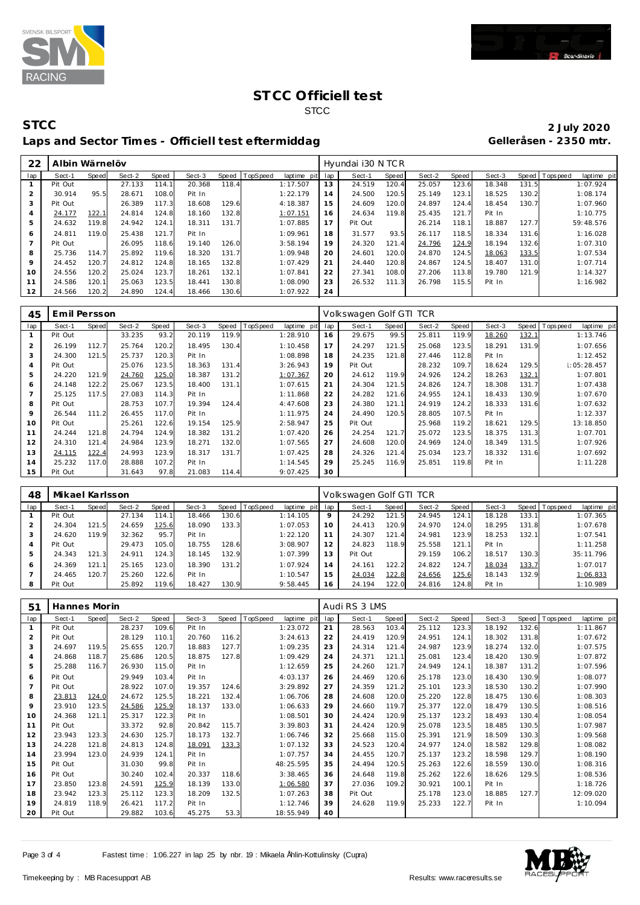



| 22             | Albin Wärnelöv |       |        |       |        |       |          |                 |     | Hyundai i30 N TCR |       |        |       |        |       |                               |
|----------------|----------------|-------|--------|-------|--------|-------|----------|-----------------|-----|-------------------|-------|--------|-------|--------|-------|-------------------------------|
| lap            | Sect-1         | Speed | Sect-2 | Speed | Sect-3 | Speed | TopSpeed | laptime<br>pitl | lap | Sect-1            | Speed | Sect-2 | Speed | Sect-3 |       | Speed Topspeed<br>laptime pit |
|                | Pit Out        |       | 27.133 | 114.1 | 20.368 | 118.4 |          | 1:17.507        | 13  | 24.519            | 120.4 | 25.057 | 123.6 | 18.348 | 131.5 | 1:07.924                      |
| $\overline{2}$ | 30.914         | 95.5  | 28.671 | 108.0 | Pit In |       |          | 1:22.179        | 14  | 24.500            | 120.5 | 25.149 | 123.1 | 18.525 | 130.2 | 1:08.174                      |
| 3              | Pit Out        |       | 26.389 | 117.3 | 18.608 | 129.6 |          | 4:18.387        | 15  | 24.609            | 120.0 | 24.897 | 124.4 | 18.454 | 130.7 | 1:07.960                      |
| $\overline{a}$ | 24.177         | 122.1 | 24.814 | 124.8 | 18.160 | 132.8 |          | 1:07.151        | 16  | 24.634            | 119.8 | 25.435 | 121.7 | Pit In |       | 1:10.775                      |
| 5              | 24.632         | 119.8 | 24.942 | 124.1 | 18.311 | 131.7 |          | 1:07.885        | 17  | Pit Out           |       | 26.214 | 118.1 | 18.887 | 127.7 | 59:48.576                     |
| 6              | 24.811         | 119.0 | 25.438 | 121.7 | Pit In |       |          | 1:09.961        | 18  | 31.577            | 93.5  | 26.117 | 118.5 | 18.334 | 131.6 | 1:16.028                      |
|                | Pit Out        |       | 26.095 | 118.6 | 19.140 | 126.0 |          | 3:58.194        | 19  | 24.320            | 121.4 | 24.796 | 124.9 | 18.194 | 132.6 | 1:07.310                      |
| 8              | 25.736         | 114.7 | 25.892 | 119.6 | 18.320 | 131.7 |          | 1:09.948        | 20  | 24.601            | 120.0 | 24.870 | 124.5 | 18.063 | 133.5 | 1:07.534                      |
| 9              | 24.452         | 120.7 | 24.812 | 124.8 | 18.165 | 132.8 |          | 1:07.429        | 21  | 24.440            | 120.8 | 24.867 | 124.5 | 18.407 | 131.0 | 1:07.714                      |
| 10             | 24.556         | 120.2 | 25.024 | 123.7 | 18.261 | 132.1 |          | 1:07.841        | 22  | 27.341            | 108.0 | 27.206 | 113.8 | 19.780 | 121.9 | 1:14.327                      |
| 11             | 24.586         | 120.1 | 25.063 | 123.5 | 18.441 | 130.8 |          | 1:08.090        | 23  | 26.532            | 111.3 | 26.798 | 115.5 | Pit In |       | 1:16.982                      |
| 12             | 24.566         | 120.2 | 24.890 | 124.4 | 18.466 | 130.6 |          | 1:07.922        | 24  |                   |       |        |       |        |       |                               |

| 45             | Emil Persson |              |        |       |        |       |          |             |     | Volkswagen Golf GTI TCR |       |        |       |        |       |                 |             |
|----------------|--------------|--------------|--------|-------|--------|-------|----------|-------------|-----|-------------------------|-------|--------|-------|--------|-------|-----------------|-------------|
| lap            | Sect-1       | <b>Speed</b> | Sect-2 | Speed | Sect-3 | Speed | TopSpeed | laptime pit | lap | Sect-1                  | Speed | Sect-2 | Speed | Sect-3 |       | Speed Tops peed | laptime pit |
| $\mathbf{1}$   | Pit Out      |              | 33.235 | 93.2  | 20.119 | 119.9 |          | 1:28.910    | 16  | 29.675                  | 99.5  | 25.811 | 119.9 | 18.260 | 132.1 |                 | 1:13.746    |
| $\overline{2}$ | 26.199       | 112.7        | 25.764 | 120.2 | 18.495 | 130.4 |          | 1:10.458    | 17  | 24.297                  | 121.5 | 25.068 | 123.5 | 18.291 | 131.9 |                 | 1:07.656    |
| 3              | 24.300       | 121.5        | 25.737 | 120.3 | Pit In |       |          | 1:08.898    | 18  | 24.235                  | 121.8 | 27.446 | 112.8 | Pit In |       |                 | 1:12.452    |
| $\overline{4}$ | Pit Out      |              | 25.076 | 123.5 | 18.363 | 131.4 |          | 3:26.943    | 19  | Pit Out                 |       | 28.232 | 109.7 | 18.624 | 129.5 |                 | 1:05:28.457 |
| 5              | 24.220       | 121.9        | 24.760 | 125.0 | 18.387 | 131.2 |          | 1:07.367    | 20  | 24.612                  | 119.9 | 24.926 | 124.2 | 18.263 | 132.1 |                 | 1:07.801    |
| 6              | 24.148       | 122.2        | 25.067 | 123.5 | 18.400 | 131.1 |          | 1:07.615    | 21  | 24.304                  | 121.5 | 24.826 | 124.7 | 18.308 | 131.7 |                 | 1:07.438    |
| $\overline{7}$ | 25.125       | 117.5        | 27.083 | 114.3 | Pit In |       |          | 1:11.868    | 22  | 24.282                  | 121.6 | 24.955 | 124.1 | 18.433 | 130.9 |                 | 1:07.670    |
| 8              | Pit Out      |              | 28.753 | 107.7 | 19.394 | 124.4 |          | 4:47.608    | 23  | 24.380                  | 121.1 | 24.919 | 124.2 | 18.333 | 131.6 |                 | 1:07.632    |
| 9              | 26.544       | 111.2        | 26.455 | 117.0 | Pit In |       |          | 1:11.975    | 24  | 24.490                  | 120.5 | 28.805 | 107.5 | Pit In |       |                 | 1:12.337    |
| 10             | Pit Out      |              | 25.261 | 122.6 | 19.154 | 125.9 |          | 2:58.947    | 25  | Pit Out                 |       | 25.968 | 119.2 | 18.621 | 129.5 |                 | 13:18.850   |
| 11             | 24.244       | 121.8        | 24.794 | 124.9 | 18.382 | 131.2 |          | 1:07.420    | 26  | 24.254                  | 121.7 | 25.072 | 123.5 | 18.375 | 131.3 |                 | 1:07.701    |
| 12             | 24.310       | 121.4        | 24.984 | 123.9 | 18.271 | 132.0 |          | 1:07.565    | 27  | 24.608                  | 120.0 | 24.969 | 124.0 | 18.349 | 131.5 |                 | 1:07.926    |
| 13             | 24.115       | 122.4        | 24.993 | 123.9 | 18.317 | 131.7 |          | 1:07.425    | 28  | 24.326                  | 121.4 | 25.034 | 123.7 | 18.332 | 131.6 |                 | 1:07.692    |
| 14             | 25.232       | 117.0        | 28.888 | 107.2 | Pit In |       |          | 1:14.545    | 29  | 25.245                  | 116.9 | 25.851 | 119.8 | Pit In |       |                 | 1:11.228    |
| 15             | Pit Out      |              | 31.643 | 97.8  | 21.083 | 114.4 |          | 9:07.425    | 30  |                         |       |        |       |        |       |                 |             |

| 48  | Mikael Karlsson |       |        |       |        |       |                |             |     | Volkswagen Golf GTI TCR |       |        |       |        |         |            |             |
|-----|-----------------|-------|--------|-------|--------|-------|----------------|-------------|-----|-------------------------|-------|--------|-------|--------|---------|------------|-------------|
| lap | Sect-1          | Speed | Sect-2 | Speed | Sect-3 |       | Speed TopSpeed | laptime pit | lap | Sect-1                  | Speed | Sect-2 | Speed | Sect-3 | Speed I | T ops peed | laptime pit |
|     | Pit Out         |       | 27.134 | 114.1 | 18.466 | 130.6 |                | 1:14.105    | 9   | 24.292                  | 121   | 24.945 | 124.1 | 18.128 | 133.1   |            | 1:07.365    |
|     | 24.304          | 121.5 | 24.659 | 125.6 | 18.090 | 133.3 |                | 1:07.053    | 10  | 24.413                  | 120.9 | 24.970 | 124.0 | 18.295 | 131.8   |            | 1:07.678    |
|     | 24.620          | 119.9 | 32.362 | 95.7  | Pit In |       |                | 1:22.120    |     | 24.307                  | 121   | 24.981 | 123.9 | 18.253 | 132.1   |            | 1:07.541    |
| 4   | Pit Out         |       | 29.473 | 105.0 | 18.755 | 128.6 |                | 3:08.907    | 12  | 24.823                  | 18.9  | 25.558 | 121.1 | Pit In |         |            | 1:11.258    |
| 5   | 24.343          | 121.3 | 24.911 | 124.3 | 18.145 | 32.9  |                | 1:07.399    | 13  | Pit Out                 |       | 29.159 | 106.2 | 18.517 | 130.3   |            | 35:11.796   |
| 6   | 24.369          | 121.1 | 25.165 | 123.0 | 18.390 | 131.2 |                | 1:07.924    | 14  | 24.161                  | 122.2 | 24.822 | 124.7 | 18.034 | 133.7   |            | 1:07.017    |
|     | 24.465          | 120.7 | 25.260 | 122.6 | Pit In |       |                | 1:10.547    | 15  | 24.034                  | 122.8 | 24.656 | 125.6 | 18.143 | 132.9   |            | 1:06.833    |
| 8   | Pit Out         |       | 25.892 | 119.6 | 18.427 | 130.9 |                | 9:58.445    | 16  | 24.194                  | 122.0 | 24.816 | 124.8 | Pit In |         |            | 1:10.989    |

| 51  | Hannes Morin |              |        |       |        |       |          |             |     | Audi RS 3 LMS |       |        |       |        |       |                 |             |
|-----|--------------|--------------|--------|-------|--------|-------|----------|-------------|-----|---------------|-------|--------|-------|--------|-------|-----------------|-------------|
| lap | Sect-1       | <b>Speed</b> | Sect-2 | Speed | Sect-3 | Speed | TopSpeed | laptime pit | lap | Sect-1        | Speed | Sect-2 | Speed | Sect-3 | Speed | <b>Topspeed</b> | laptime pit |
|     | Pit Out      |              | 28.237 | 109.6 | Pit In |       |          | 1:23.072    | 21  | 28.563        | 103.4 | 25.112 | 123.3 | 18.192 | 132.6 |                 | 1:11.867    |
| 2   | Pit Out      |              | 28.129 | 110.1 | 20.760 | 116.2 |          | 3:24.613    | 22  | 24.419        | 120.9 | 24.951 | 124.1 | 18.302 | 131.8 |                 | 1:07.672    |
| 3   | 24.697       | 119.5        | 25.655 | 120.7 | 18.883 | 127.7 |          | 1:09.235    | 23  | 24.314        | 121.4 | 24.987 | 123.9 | 18.274 | 132.0 |                 | 1:07.575    |
| 4   | 24.868       | 118.7        | 25.686 | 120.5 | 18.875 | 127.8 |          | 1:09.429    | 24  | 24.371        | 121.1 | 25.081 | 123.4 | 18.420 | 130.9 |                 | 1:07.872    |
| 5   | 25.288       | 116.7        | 26.930 | 115.0 | Pit In |       |          | 1:12.659    | 25  | 24.260        | 121.7 | 24.949 | 124.1 | 18.387 | 131.2 |                 | 1:07.596    |
| 6   | Pit Out      |              | 29.949 | 103.4 | Pit In |       |          | 4:03.137    | 26  | 24.469        | 120.6 | 25.178 | 123.0 | 18.430 | 130.9 |                 | 1:08.077    |
|     | Pit Out      |              | 28.922 | 107.0 | 19.357 | 124.6 |          | 3:29.892    | 27  | 24.359        | 121.2 | 25.101 | 123.3 | 18.530 | 130.2 |                 | 1:07.990    |
| 8   | 23.813       | 124.0        | 24.672 | 125.5 | 18.221 | 132.4 |          | 1:06.706    | 28  | 24.608        | 120.0 | 25.220 | 122.8 | 18.475 | 130.6 |                 | 1:08.303    |
| 9   | 23.910       | 123.5        | 24.586 | 125.9 | 18.137 | 133.0 |          | 1:06.633    | 29  | 24.660        | 119.7 | 25.377 | 122.0 | 18.479 | 130.5 |                 | 1:08.516    |
| 10  | 24.368       | 121.1        | 25.317 | 122.3 | Pit In |       |          | 1:08.501    | 30  | 24.424        | 120.9 | 25.137 | 123.2 | 18.493 | 130.4 |                 | 1:08.054    |
| 11  | Pit Out      |              | 33.372 | 92.8  | 20.842 | 115.7 |          | 3:39.803    | 31  | 24.424        | 120.9 | 25.078 | 123.5 | 18.485 | 130.5 |                 | 1:07.987    |
| 12  | 23.943       | 123.3        | 24.630 | 125.7 | 18.173 | 132.7 |          | 1:06.746    | 32  | 25.668        | 115.0 | 25.391 | 121.9 | 18.509 | 130.3 |                 | 1:09.568    |
| 13  | 24.228       | 121.8        | 24.813 | 124.8 | 18.091 | 133.3 |          | 1:07.132    | 33  | 24.523        | 120.4 | 24.977 | 124.0 | 18.582 | 129.8 |                 | 1:08.082    |
| 14  | 23.994       | 123.0        | 24.939 | 124.1 | Pit In |       |          | 1:07.757    | 34  | 24.455        | 120.7 | 25.137 | 123.2 | 18.598 | 129.7 |                 | 1:08.190    |
| 15  | Pit Out      |              | 31.030 | 99.8  | Pit In |       |          | 48:25.595   | 35  | 24.494        | 120.5 | 25.263 | 122.6 | 18.559 | 130.0 |                 | 1:08.316    |
| 16  | Pit Out      |              | 30.240 | 102.4 | 20.337 | 118.6 |          | 3:38.465    | 36  | 24.648        | 119.8 | 25.262 | 122.6 | 18.626 | 129.5 |                 | 1:08.536    |
| 17  | 23.850       | 123.8        | 24.591 | 125.9 | 18.139 | 133.0 |          | 1:06.580    | 37  | 27.036        | 109.2 | 30.921 | 100.1 | Pit In |       |                 | 1:18.726    |
| 18  | 23.942       | 123.3        | 25.112 | 123.3 | 18.209 | 132.5 |          | 1:07.263    | 38  | Pit Out       |       | 25.178 | 123.0 | 18.885 | 127.7 |                 | 12:09.020   |
| 19  | 24.819       | 118.9        | 26.421 | 117.2 | Pit In |       |          | 1:12.746    | 39  | 24.628        | 119.9 | 25.233 | 122.7 | Pit In |       |                 | 1:10.094    |
| 20  | Pit Out      |              | 29.882 | 103.6 | 45.275 | 53.3  |          | 18:55.949   | 40  |               |       |        |       |        |       |                 |             |